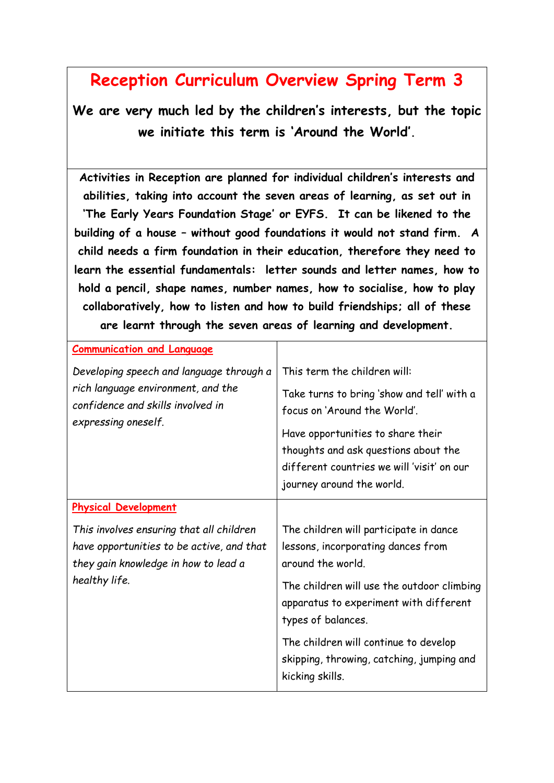## **Reception Curriculum Overview Spring Term 3**

**We are very much led by the children's interests, but the topic we initiate this term is 'Around the World'.**

**Activities in Reception are planned for individual children's interests and abilities, taking into account the seven areas of learning, as set out in 'The Early Years Foundation Stage' or EYFS. It can be likened to the building of a house – without good foundations it would not stand firm. A child needs a firm foundation in their education, therefore they need to learn the essential fundamentals: letter sounds and letter names, how to hold a pencil, shape names, number names, how to socialise, how to play collaboratively, how to listen and how to build friendships; all of these are learnt through the seven areas of learning and development.**

| <b>Communication and Language</b>                                                                                                              |                                                                                                                                                      |
|------------------------------------------------------------------------------------------------------------------------------------------------|------------------------------------------------------------------------------------------------------------------------------------------------------|
| Developing speech and language through a<br>rich language environment, and the<br>confidence and skills involved in<br>expressing oneself.     | This term the children will:                                                                                                                         |
|                                                                                                                                                | Take turns to bring 'show and tell' with a<br>focus on 'Around the World'.                                                                           |
|                                                                                                                                                | Have opportunities to share their<br>thoughts and ask questions about the<br>different countries we will 'visit' on our<br>journey around the world. |
| <b>Physical Development</b>                                                                                                                    |                                                                                                                                                      |
| This involves ensuring that all children<br>have opportunities to be active, and that<br>they gain knowledge in how to lead a<br>healthy life. | The children will participate in dance<br>lessons, incorporating dances from<br>around the world.                                                    |
|                                                                                                                                                | The children will use the outdoor climbing<br>apparatus to experiment with different<br>types of balances.                                           |
|                                                                                                                                                | The children will continue to develop<br>skipping, throwing, catching, jumping and<br>kicking skills.                                                |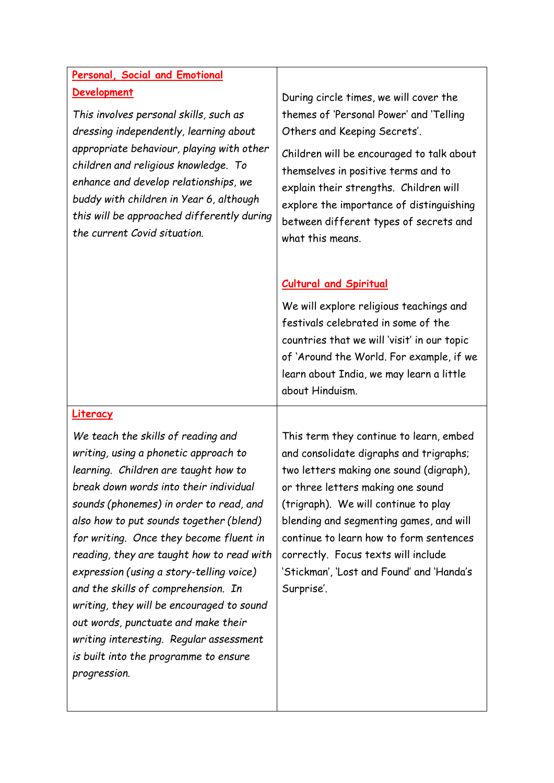## **Personal, Social and Emotional Development**

*This involves personal skills, such as dressing independently, learning about appropriate behaviour, playing with other children and religious knowledge. To enhance and develop relationships, we buddy with children in Year 6, although this will be approached differently during the current Covid situation.*

During circle times, we will cover the themes of 'Personal Power' and 'Telling Others and Keeping Secrets'.

Children will be encouraged to talk about themselves in positive terms and to explain their strengths. Children will explore the importance of distinguishing between different types of secrets and what this means.

## **Cultural and Spiritual**

We will explore religious teachings and festivals celebrated in some of the countries that we will 'visit' in our topic of 'Around the World. For example, if we learn about India, we may learn a little about Hinduism.

## **Literacy**

*We teach the skills of reading and writing, using a phonetic approach to learning. Children are taught how to break down words into their individual sounds (phonemes) in order to read, and also how to put sounds together (blend) for writing. Once they become fluent in reading, they are taught how to read with expression (using a story-telling voice) and the skills of comprehension. In writing, they will be encouraged to sound out words, punctuate and make their writing interesting. Regular assessment is built into the programme to ensure progression.* 

This term they continue to learn, embed and consolidate digraphs and trigraphs; two letters making one sound (digraph), or three letters making one sound (trigraph). We will continue to play blending and segmenting games, and will continue to learn how to form sentences correctly. Focus texts will include 'Stickman', 'Lost and Found' and 'Handa's Surprise'.